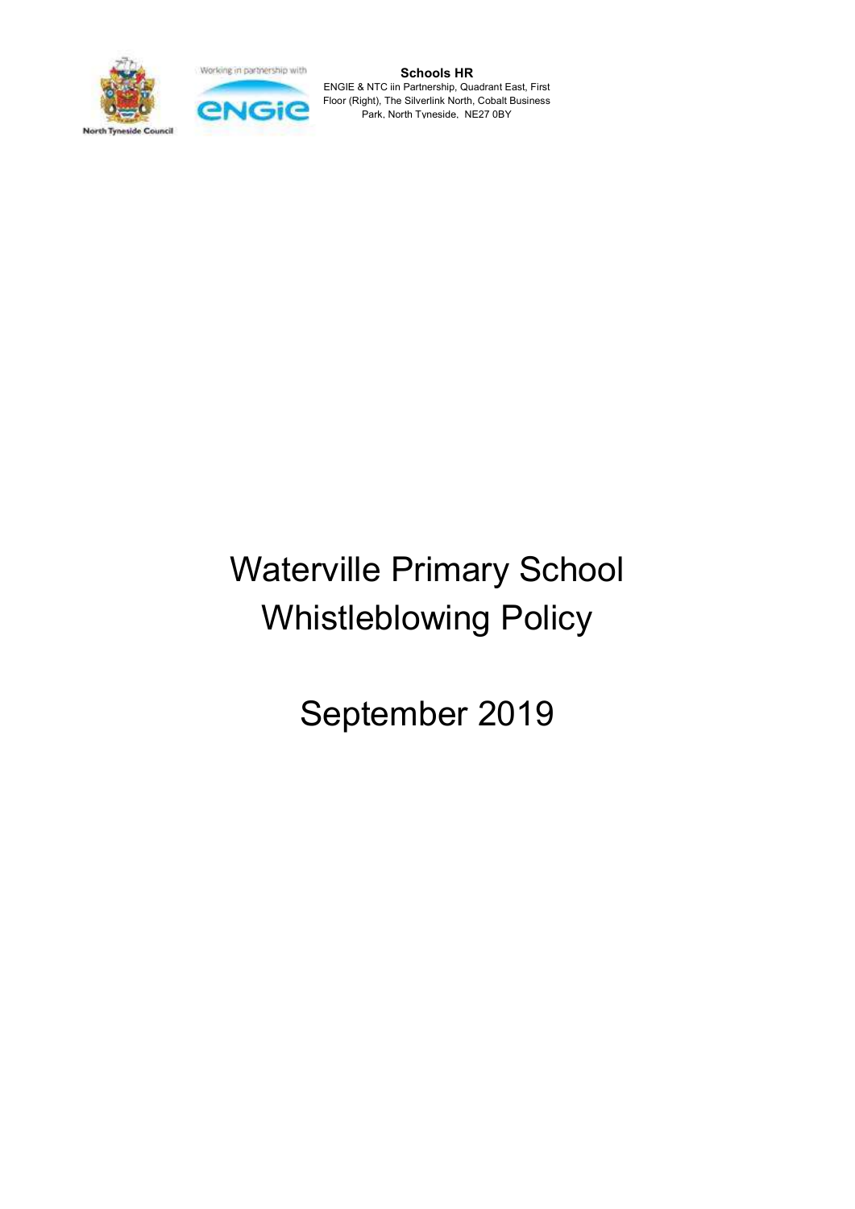Working in partnership with





Schools HR ENGIE & NTC iin Partnership, Quadrant East, First Floor (Right), The Silverlink North, Cobalt Business Park, North Tyneside, NE27 0BY

# Waterville Primary School Whistleblowing Policy

September 2019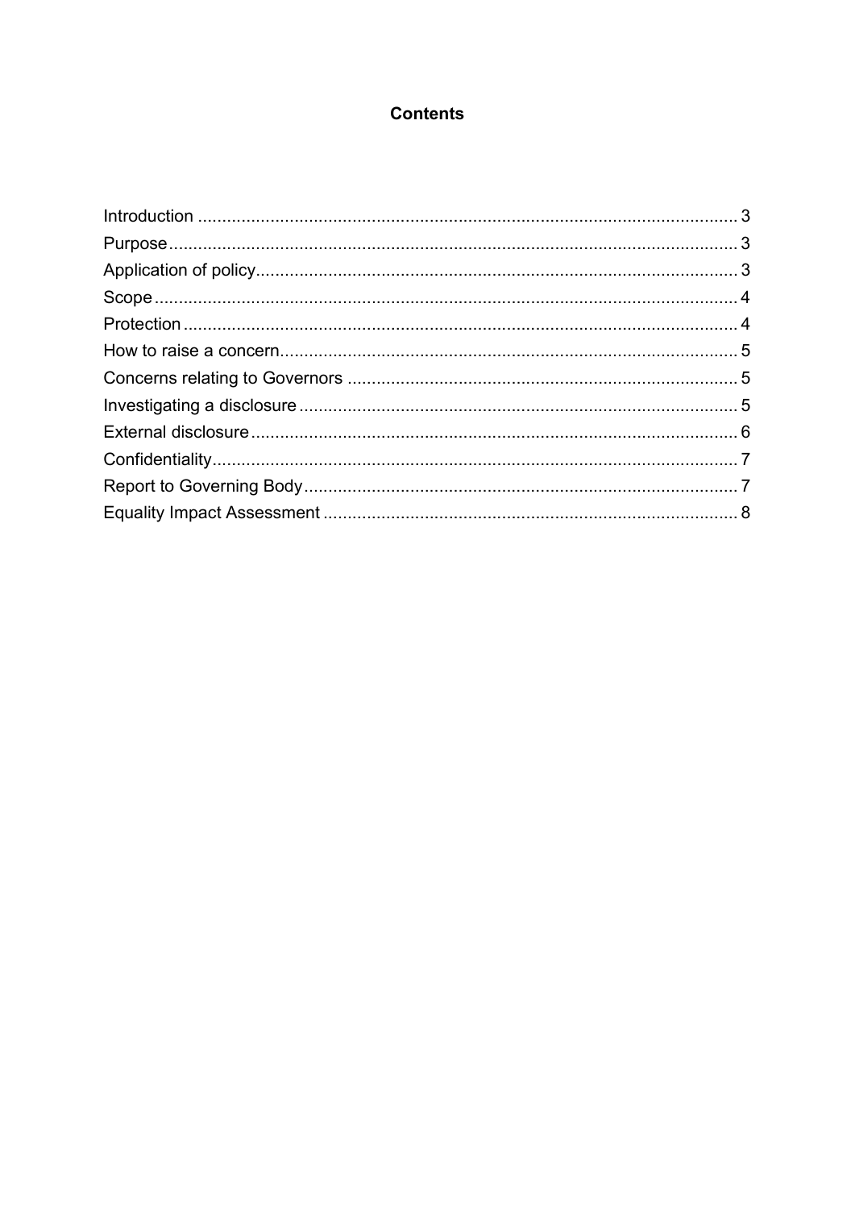# **Contents**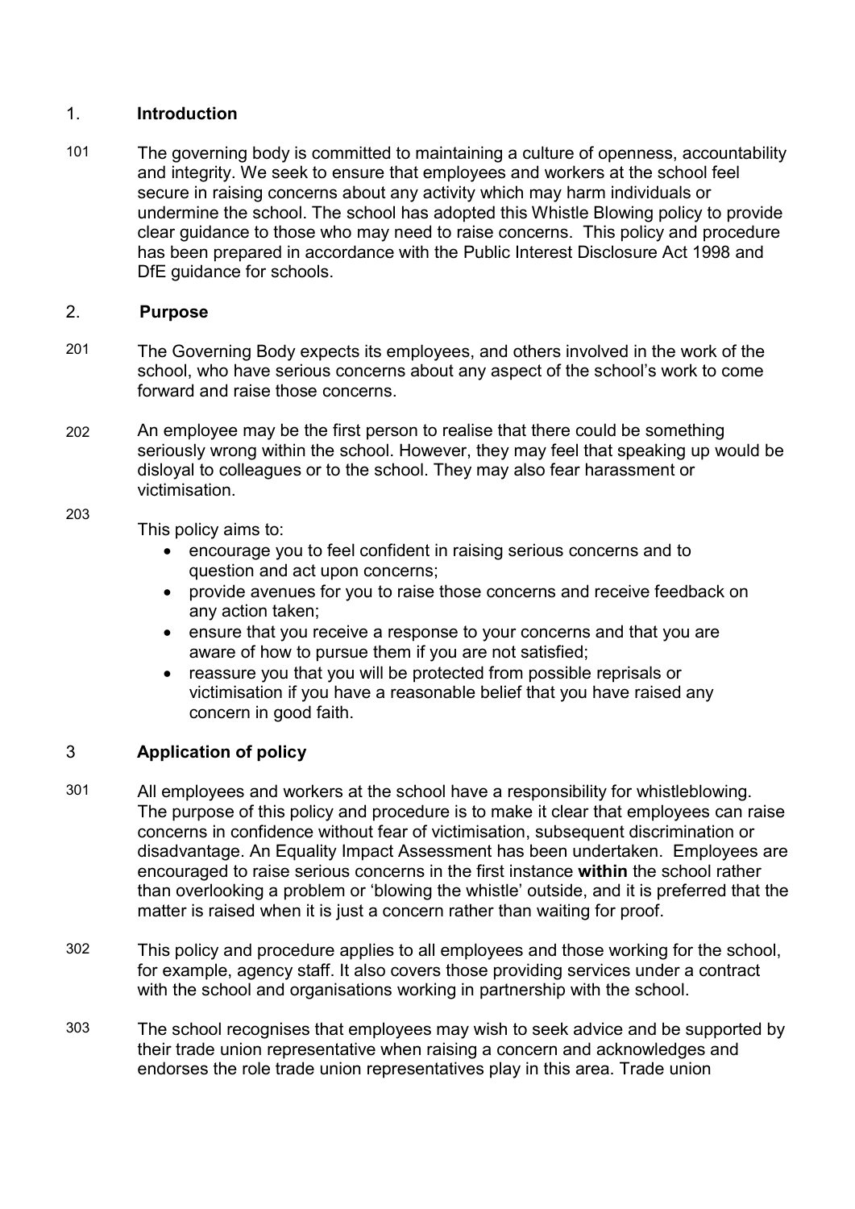#### 1. **Introduction**

101 The governing body is committed to maintaining a culture of openness, accountability and integrity. We seek to ensure that employees and workers at the school feel secure in raising concerns about any activity which may harm individuals or undermine the school. The school has adopted this Whistle Blowing policy to provide clear guidance to those who may need to raise concerns. This policy and procedure has been prepared in accordance with the Public Interest Disclosure Act 1998 and DfE guidance for schools.

# 2. Purpose

203

- 201 The Governing Body expects its employees, and others involved in the work of the school, who have serious concerns about any aspect of the school's work to come forward and raise those concerns.
- 202 An employee may be the first person to realise that there could be something seriously wrong within the school. However, they may feel that speaking up would be disloyal to colleagues or to the school. They may also fear harassment or victimisation.

This policy aims to:

- encourage you to feel confident in raising serious concerns and to question and act upon concerns;
- provide avenues for you to raise those concerns and receive feedback on any action taken;
- ensure that you receive a response to your concerns and that you are aware of how to pursue them if you are not satisfied;
- reassure you that you will be protected from possible reprisals or victimisation if you have a reasonable belief that you have raised any concern in good faith.

# 3 Application of policy

- 301 All employees and workers at the school have a responsibility for whistleblowing. The purpose of this policy and procedure is to make it clear that employees can raise concerns in confidence without fear of victimisation, subsequent discrimination or disadvantage. An Equality Impact Assessment has been undertaken. Employees are encouraged to raise serious concerns in the first instance within the school rather than overlooking a problem or 'blowing the whistle' outside, and it is preferred that the matter is raised when it is just a concern rather than waiting for proof.
- 302 This policy and procedure applies to all employees and those working for the school, for example, agency staff. It also covers those providing services under a contract with the school and organisations working in partnership with the school.
- 303 The school recognises that employees may wish to seek advice and be supported by their trade union representative when raising a concern and acknowledges and endorses the role trade union representatives play in this area. Trade union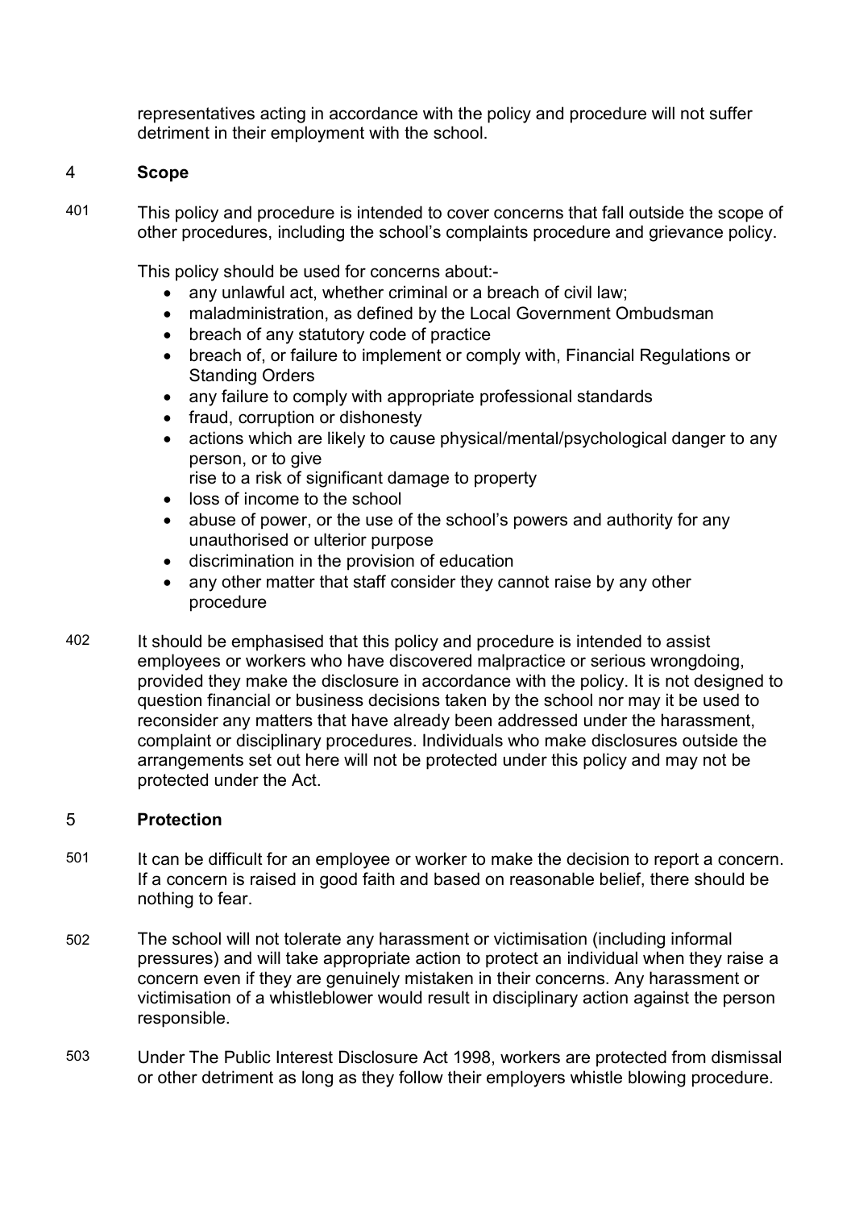representatives acting in accordance with the policy and procedure will not suffer detriment in their employment with the school.

# 4 Scope

401 This policy and procedure is intended to cover concerns that fall outside the scope of other procedures, including the school's complaints procedure and grievance policy.

This policy should be used for concerns about:-

- any unlawful act, whether criminal or a breach of civil law;
- maladministration, as defined by the Local Government Ombudsman
- breach of any statutory code of practice
- breach of, or failure to implement or comply with, Financial Regulations or Standing Orders
- any failure to comply with appropriate professional standards
- fraud, corruption or dishonesty
- actions which are likely to cause physical/mental/psychological danger to any person, or to give
	- rise to a risk of significant damage to property
- loss of income to the school
- abuse of power, or the use of the school's powers and authority for any unauthorised or ulterior purpose
- discrimination in the provision of education
- any other matter that staff consider they cannot raise by any other procedure
- 402 It should be emphasised that this policy and procedure is intended to assist employees or workers who have discovered malpractice or serious wrongdoing, provided they make the disclosure in accordance with the policy. It is not designed to question financial or business decisions taken by the school nor may it be used to reconsider any matters that have already been addressed under the harassment, complaint or disciplinary procedures. Individuals who make disclosures outside the arrangements set out here will not be protected under this policy and may not be protected under the Act.

### 5 Protection

- 501 It can be difficult for an employee or worker to make the decision to report a concern. If a concern is raised in good faith and based on reasonable belief, there should be nothing to fear.
- 502 The school will not tolerate any harassment or victimisation (including informal pressures) and will take appropriate action to protect an individual when they raise a concern even if they are genuinely mistaken in their concerns. Any harassment or victimisation of a whistleblower would result in disciplinary action against the person responsible.
- 503 Under The Public Interest Disclosure Act 1998, workers are protected from dismissal or other detriment as long as they follow their employers whistle blowing procedure.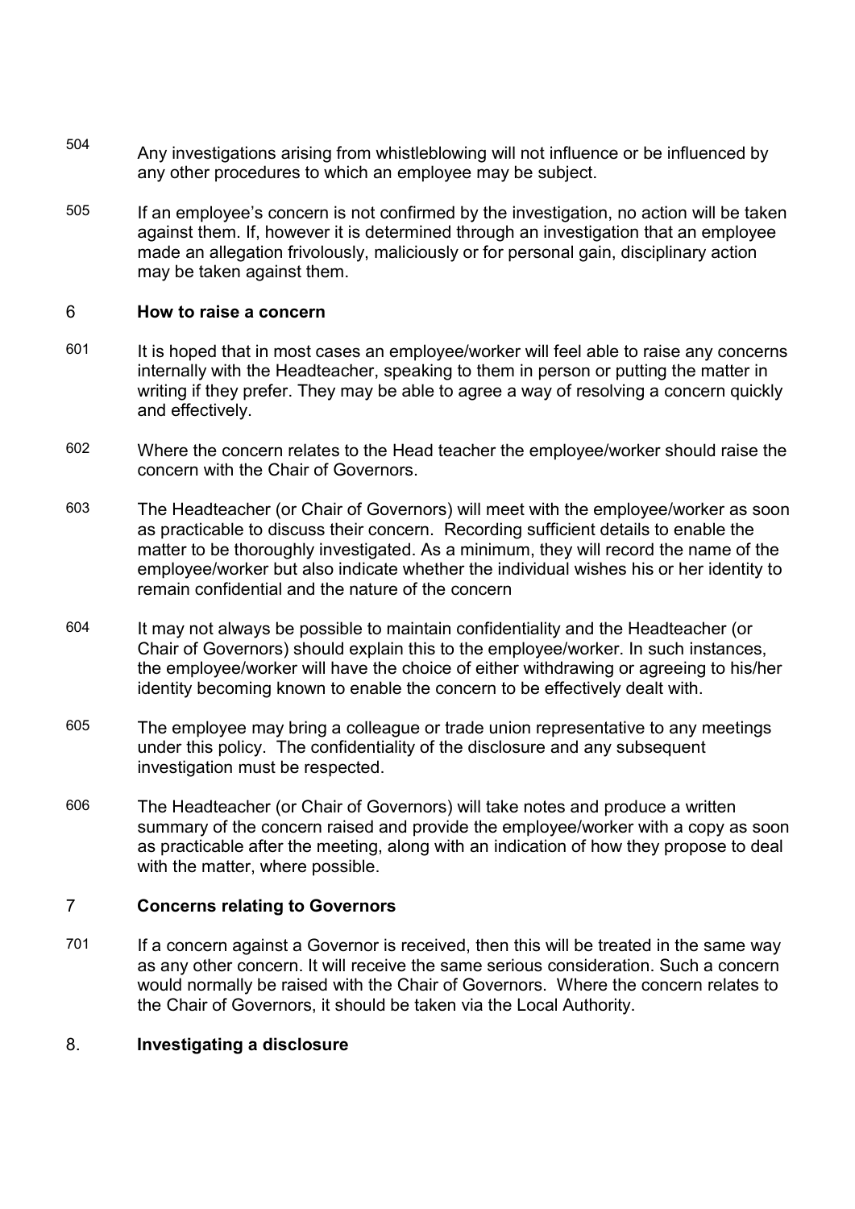- 504 Any investigations arising from whistleblowing will not influence or be influenced by any other procedures to which an employee may be subject.
- 505 If an employee's concern is not confirmed by the investigation, no action will be taken against them. If, however it is determined through an investigation that an employee made an allegation frivolously, maliciously or for personal gain, disciplinary action may be taken against them.

### 6 How to raise a concern

- 601 It is hoped that in most cases an employee/worker will feel able to raise any concerns internally with the Headteacher, speaking to them in person or putting the matter in writing if they prefer. They may be able to agree a way of resolving a concern quickly and effectively.
- 602 Where the concern relates to the Head teacher the employee/worker should raise the concern with the Chair of Governors.
- 603 The Headteacher (or Chair of Governors) will meet with the employee/worker as soon as practicable to discuss their concern. Recording sufficient details to enable the matter to be thoroughly investigated. As a minimum, they will record the name of the employee/worker but also indicate whether the individual wishes his or her identity to remain confidential and the nature of the concern
- 604 It may not always be possible to maintain confidentiality and the Headteacher (or Chair of Governors) should explain this to the employee/worker. In such instances, the employee/worker will have the choice of either withdrawing or agreeing to his/her identity becoming known to enable the concern to be effectively dealt with.
- 605 The employee may bring a colleague or trade union representative to any meetings under this policy. The confidentiality of the disclosure and any subsequent investigation must be respected.
- 606 The Headteacher (or Chair of Governors) will take notes and produce a written summary of the concern raised and provide the employee/worker with a copy as soon as practicable after the meeting, along with an indication of how they propose to deal with the matter, where possible.

#### 7 Concerns relating to Governors

701 If a concern against a Governor is received, then this will be treated in the same way as any other concern. It will receive the same serious consideration. Such a concern would normally be raised with the Chair of Governors. Where the concern relates to the Chair of Governors, it should be taken via the Local Authority.

### 8. Investigating a disclosure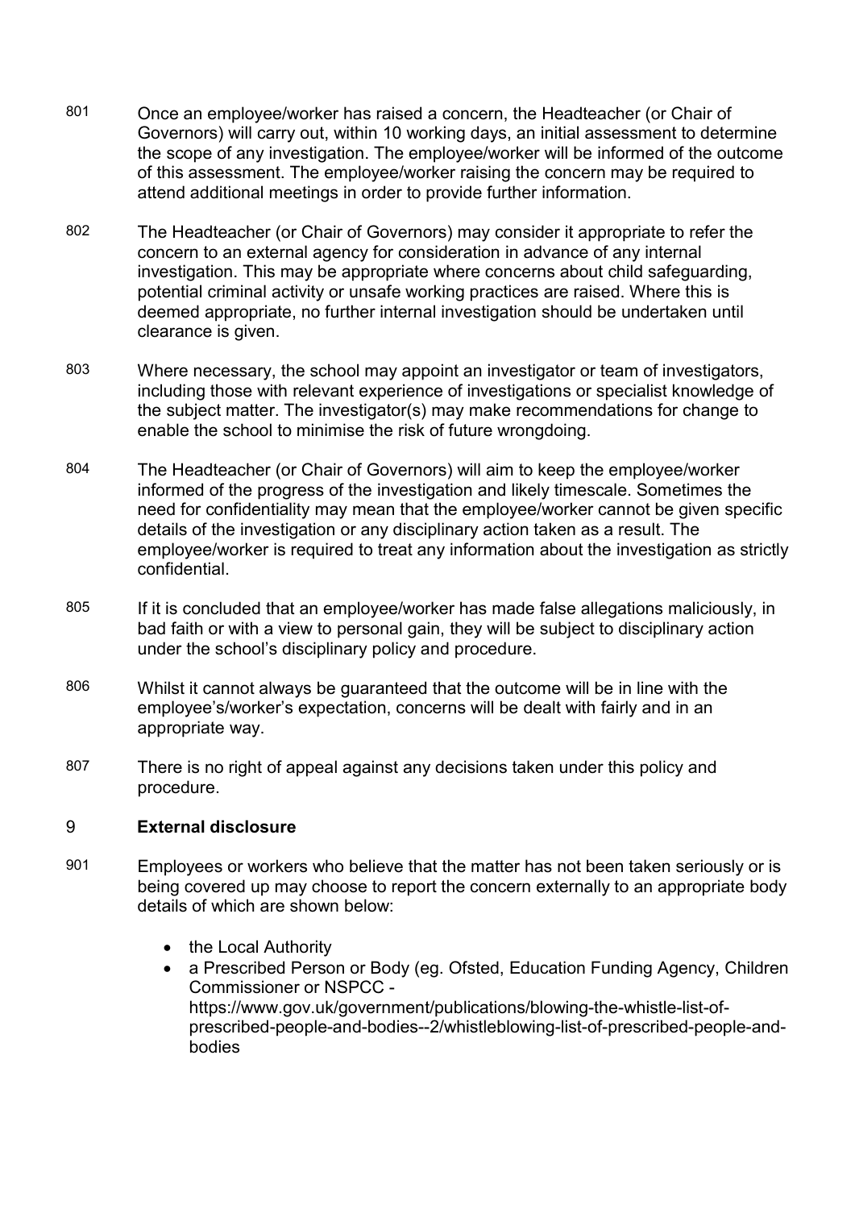- 801 Once an employee/worker has raised a concern, the Headteacher (or Chair of Governors) will carry out, within 10 working days, an initial assessment to determine the scope of any investigation. The employee/worker will be informed of the outcome of this assessment. The employee/worker raising the concern may be required to attend additional meetings in order to provide further information.
- 802 The Headteacher (or Chair of Governors) may consider it appropriate to refer the concern to an external agency for consideration in advance of any internal investigation. This may be appropriate where concerns about child safeguarding, potential criminal activity or unsafe working practices are raised. Where this is deemed appropriate, no further internal investigation should be undertaken until clearance is given.
- 803 Where necessary, the school may appoint an investigator or team of investigators, including those with relevant experience of investigations or specialist knowledge of the subject matter. The investigator(s) may make recommendations for change to enable the school to minimise the risk of future wrongdoing.
- 804 The Headteacher (or Chair of Governors) will aim to keep the employee/worker informed of the progress of the investigation and likely timescale. Sometimes the need for confidentiality may mean that the employee/worker cannot be given specific details of the investigation or any disciplinary action taken as a result. The employee/worker is required to treat any information about the investigation as strictly confidential.
- 805 If it is concluded that an employee/worker has made false allegations maliciously, in bad faith or with a view to personal gain, they will be subject to disciplinary action under the school's disciplinary policy and procedure.
- 806 Whilst it cannot always be guaranteed that the outcome will be in line with the employee's/worker's expectation, concerns will be dealt with fairly and in an appropriate way.
- 807 There is no right of appeal against any decisions taken under this policy and procedure.

### 9 External disclosure

- 901 Employees or workers who believe that the matter has not been taken seriously or is being covered up may choose to report the concern externally to an appropriate body details of which are shown below:
	- the Local Authority
	- a Prescribed Person or Body (eg. Ofsted, Education Funding Agency, Children Commissioner or NSPCC https://www.gov.uk/government/publications/blowing-the-whistle-list-ofprescribed-people-and-bodies--2/whistleblowing-list-of-prescribed-people-andbodies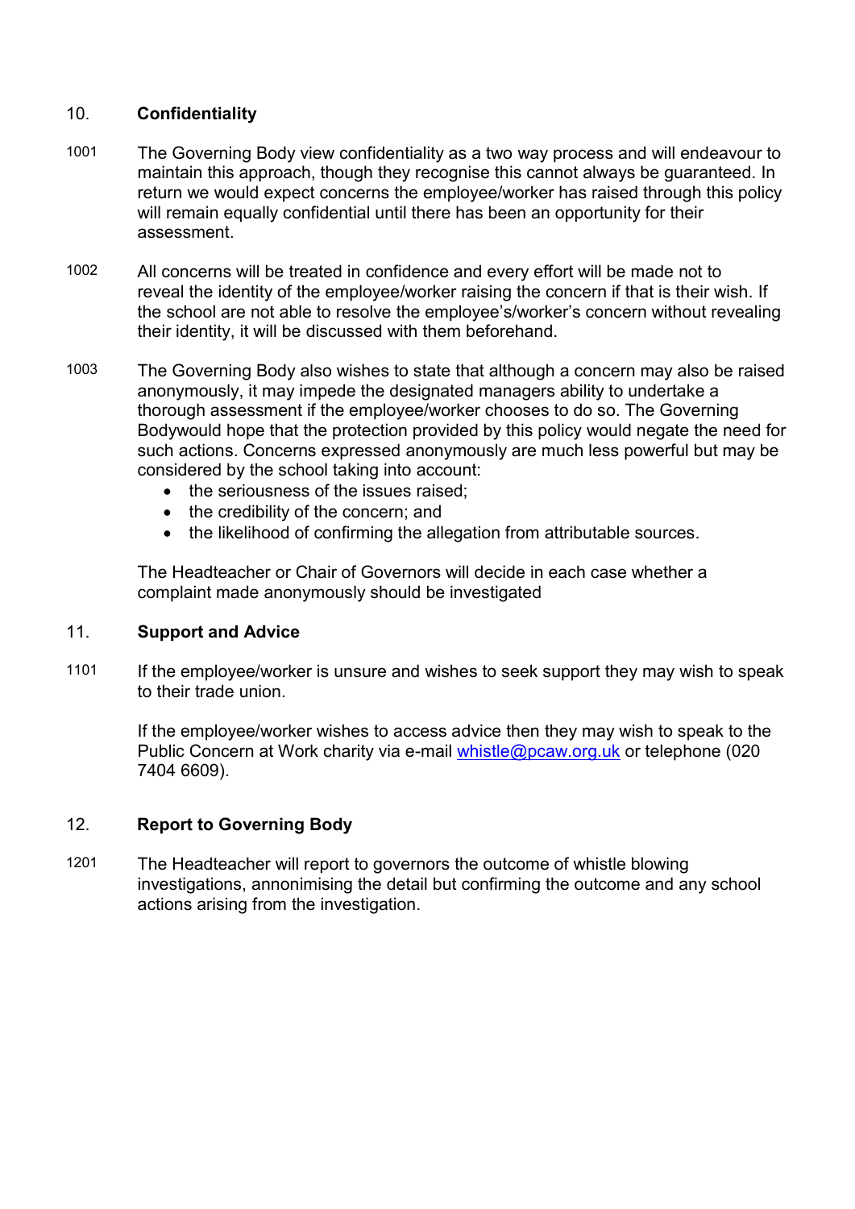# 10. Confidentiality

- 1001 The Governing Body view confidentiality as a two way process and will endeavour to maintain this approach, though they recognise this cannot always be guaranteed. In return we would expect concerns the employee/worker has raised through this policy will remain equally confidential until there has been an opportunity for their assessment.
- 1002 All concerns will be treated in confidence and every effort will be made not to reveal the identity of the employee/worker raising the concern if that is their wish. If the school are not able to resolve the employee's/worker's concern without revealing their identity, it will be discussed with them beforehand.
- 1003 The Governing Body also wishes to state that although a concern may also be raised anonymously, it may impede the designated managers ability to undertake a thorough assessment if the employee/worker chooses to do so. The Governing Bodywould hope that the protection provided by this policy would negate the need for such actions. Concerns expressed anonymously are much less powerful but may be considered by the school taking into account:
	- the seriousness of the issues raised:
	- the credibility of the concern; and
	- the likelihood of confirming the allegation from attributable sources.

The Headteacher or Chair of Governors will decide in each case whether a complaint made anonymously should be investigated

### 11. Support and Advice

1101 If the employee/worker is unsure and wishes to seek support they may wish to speak to their trade union.

If the employee/worker wishes to access advice then they may wish to speak to the Public Concern at Work charity via e-mail whistle@pcaw.org.uk or telephone (020 7404 6609).

## 12. Report to Governing Body

1201 The Headteacher will report to governors the outcome of whistle blowing investigations, annonimising the detail but confirming the outcome and any school actions arising from the investigation.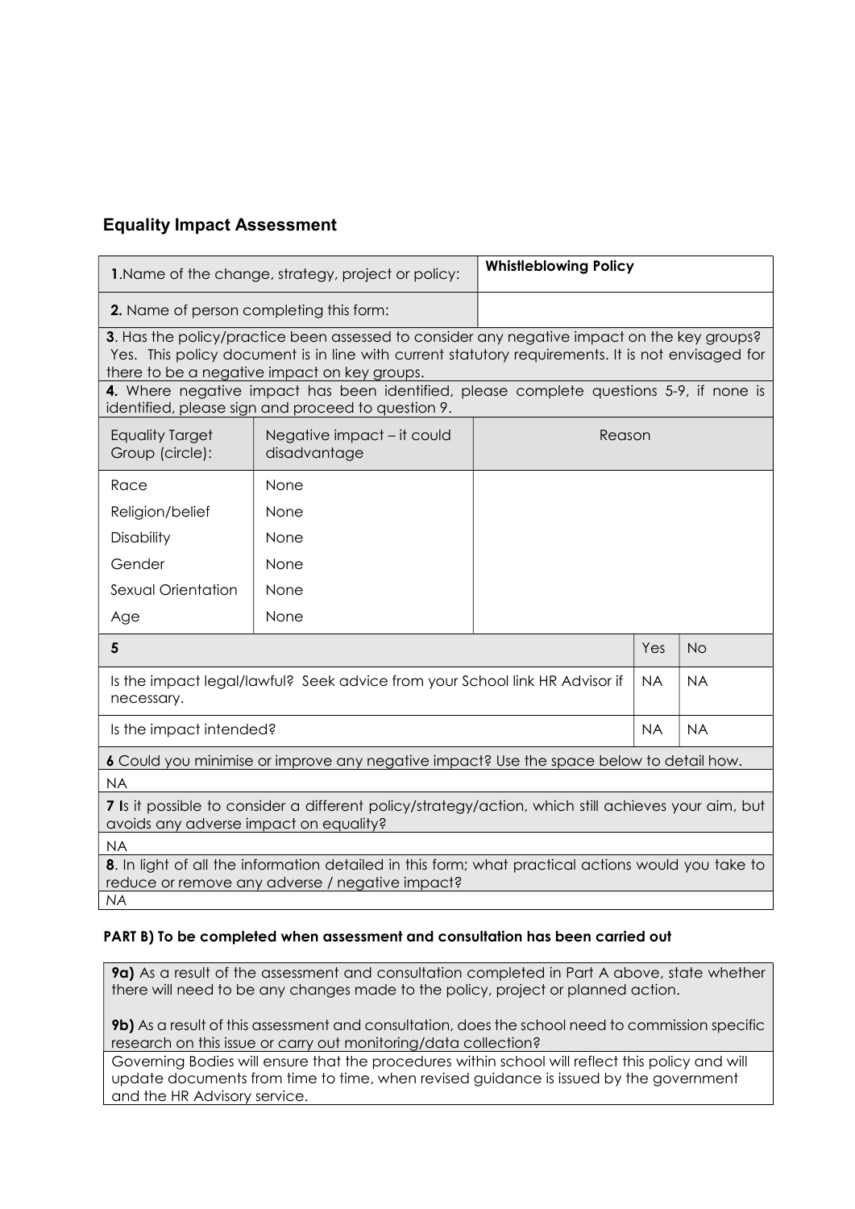# Equality Impact Assessment

| 1. Name of the change, strategy, project or policy:                                                                                                                                                                                              |                                            | <b>Whistleblowing Policy</b> |           |           |  |  |
|--------------------------------------------------------------------------------------------------------------------------------------------------------------------------------------------------------------------------------------------------|--------------------------------------------|------------------------------|-----------|-----------|--|--|
| 2. Name of person completing this form:                                                                                                                                                                                                          |                                            |                              |           |           |  |  |
| 3. Has the policy/practice been assessed to consider any negative impact on the key groups?<br>Yes. This policy document is in line with current statutory requirements. It is not envisaged for<br>there to be a negative impact on key groups. |                                            |                              |           |           |  |  |
| 4. Where negative impact has been identified, please complete questions 5-9, if none is<br>identified, please sign and proceed to question 9.                                                                                                    |                                            |                              |           |           |  |  |
| <b>Equality Target</b><br>Group (circle):                                                                                                                                                                                                        | Negative impact – it could<br>disadvantage | Reason                       |           |           |  |  |
| Race                                                                                                                                                                                                                                             | None                                       |                              |           |           |  |  |
| Religion/belief                                                                                                                                                                                                                                  | None                                       |                              |           |           |  |  |
| <b>Disability</b>                                                                                                                                                                                                                                | None                                       |                              |           |           |  |  |
| Gender                                                                                                                                                                                                                                           | None                                       |                              |           |           |  |  |
| Sexual Orientation                                                                                                                                                                                                                               | None                                       |                              |           |           |  |  |
| Age                                                                                                                                                                                                                                              | None                                       |                              |           |           |  |  |
| 5                                                                                                                                                                                                                                                |                                            |                              | Yes       | <b>No</b> |  |  |
| Is the impact legal/lawful? Seek advice from your School link HR Advisor if<br>necessary.                                                                                                                                                        |                                            | <b>NA</b>                    | <b>NA</b> |           |  |  |
| Is the impact intended?                                                                                                                                                                                                                          |                                            |                              | <b>NA</b> | <b>NA</b> |  |  |
| 6 Could you minimise or improve any negative impact? Use the space below to detail how.                                                                                                                                                          |                                            |                              |           |           |  |  |
| <b>NA</b>                                                                                                                                                                                                                                        |                                            |                              |           |           |  |  |
| 7 Is it possible to consider a different policy/strategy/action, which still achieves your aim, but<br>avoids any adverse impact on equality?                                                                                                    |                                            |                              |           |           |  |  |
| <b>NA</b>                                                                                                                                                                                                                                        |                                            |                              |           |           |  |  |
| 8. In light of all the information detailed in this form; what practical actions would you take to<br>reduce or remove any adverse / negative impact?                                                                                            |                                            |                              |           |           |  |  |

NA

### PART B) To be completed when assessment and consultation has been carried out

9a) As a result of the assessment and consultation completed in Part A above, state whether there will need to be any changes made to the policy, project or planned action.

9b) As a result of this assessment and consultation, does the school need to commission specific research on this issue or carry out monitoring/data collection?

Governing Bodies will ensure that the procedures within school will reflect this policy and will update documents from time to time, when revised guidance is issued by the government and the HR Advisory service.